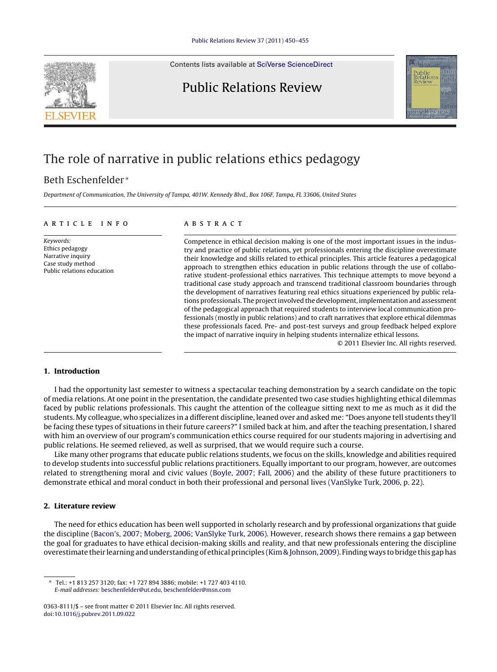Contents lists available at SciVerse [ScienceDirect](http://www.sciencedirect.com/science/journal/03638111)





## The role of narrative in public relations ethics pedagogy

### Beth Eschenfelder <sup>∗</sup>

Department of Communication, The University of Tampa, 401W. Kennedy Blvd., Box 106F, Tampa, FL 33606, United States

#### ARTICLE INFO

Keywords: Ethics pedagogy Narrative inquiry Case study method Public relations education

### A B S T R A C T

Competence in ethical decision making is one of the most important issues in the industry and practice of public relations, yet professionals entering the discipline overestimate their knowledge and skills related to ethical principles. This article features a pedagogical approach to strengthen ethics education in public relations through the use of collaborative student-professional ethics narratives. This technique attempts to move beyond a traditional case study approach and transcend traditional classroom boundaries through the development of narratives featuring real ethics situations experienced by public relations professionals. The projectinvolved the development, implementation and assessment of the pedagogical approach that required students to interview local communication professionals (mostly in public relations) and to craft narratives that explore ethical dilemmas these professionals faced. Pre- and post-test surveys and group feedback helped explore the impact of narrative inquiry in helping students internalize ethical lessons.

© 2011 Elsevier Inc. All rights reserved.

#### **1. Introduction**

I had the opportunity last semester to witness a spectacular teaching demonstration by a search candidate on the topic of media relations. At one point in the presentation, the candidate presented two case studies highlighting ethical dilemmas faced by public relations professionals. This caught the attention of the colleague sitting next to me as much as it did the students. My colleague, who specializes in a different discipline, leaned over and asked me: "Does anyone tell students they'll be facing these types of situations in their future careers?" I smiled back at him, and after the teaching presentation, I shared with him an overview of our program's communication ethics course required for our students majoring in advertising and public relations. He seemed relieved, as well as surprised, that we would require such a course.

Like many other programs that educate public relations students, we focus on the skills, knowledge and abilities required to develop students into successful public relations practitioners. Equally important to our program, however, are outcomes related to strengthening moral and civic values ([Boyle,](#page--1-0) [2007;](#page--1-0) [Fall,](#page--1-0) [2006\)](#page--1-0) and the ability of these future practitioners to demonstrate ethical and moral conduct in both their professional and personal lives [\(VanSlyke](#page--1-0) [Turk,](#page--1-0) [2006,](#page--1-0) p. 22).

#### **2. Literature review**

The need for ethics education has been well supported in scholarly research and by professional organizations that guide the discipline ([Bacon's,](#page--1-0) [2007;](#page--1-0) [Moberg,](#page--1-0) [2006;](#page--1-0) [VanSlyke](#page--1-0) [Turk,](#page--1-0) [2006\).](#page--1-0) However, research shows there remains a gap between the goal for graduates to have ethical decision-making skills and reality, and that new professionals entering the discipline overestimate their learning and understanding of ethical principles ([Kim&](#page--1-0) [Johnson,](#page--1-0) [2009\).](#page--1-0) Finding ways to bridge this gaphas

<sup>∗</sup> Tel.: +1 813 257 3120; fax: +1 727 894 3886; mobile: +1 727 403 4110. E-mail addresses: [beschenfelder@ut.edu](mailto:beschenfelder@ut.edu), [beschenfelder@msn.com](mailto:beschenfelder@msn.com)

<sup>0363-8111/\$</sup> – see front matter © 2011 Elsevier Inc. All rights reserved. doi:[10.1016/j.pubrev.2011.09.022](dx.doi.org/10.1016/j.pubrev.2011.09.022)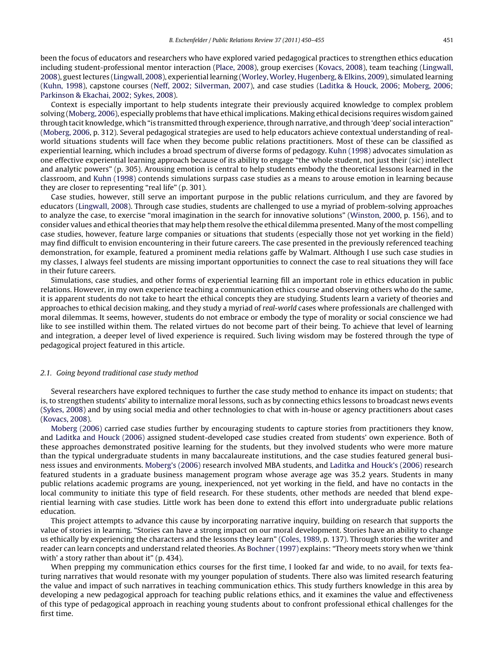been the focus of educators and researchers who have explored varied pedagogical practices to strengthen ethics education including student-professional mentor interaction [\(Place,](#page--1-0) [2008\),](#page--1-0) group exercises [\(Kovacs,](#page--1-0) [2008\),](#page--1-0) team teaching [\(Lingwall,](#page--1-0) [2008\),](#page--1-0) guestlectures ([Lingwall,](#page--1-0) [2008\),](#page--1-0) experiential learning ([Worley,](#page--1-0) [Worley,](#page--1-0) [Hugenberg,](#page--1-0) [&](#page--1-0) [Elkins,](#page--1-0) [2009\),](#page--1-0) simulated learning [\(Kuhn,](#page--1-0) [1998\),](#page--1-0) capstone courses [\(Neff,](#page--1-0) [2002;](#page--1-0) [Silverman,](#page--1-0) [2007\),](#page--1-0) and case studies [\(Laditka](#page--1-0) [&](#page--1-0) [Houck,](#page--1-0) [2006;](#page--1-0) [Moberg,](#page--1-0) [2006;](#page--1-0) [Parkinson](#page--1-0) [&](#page--1-0) [Ekachai,](#page--1-0) [2002;](#page--1-0) [Sykes,](#page--1-0) [2008\).](#page--1-0)

Context is especially important to help students integrate their previously acquired knowledge to complex problem solving [\(Moberg,](#page--1-0) [2006\),](#page--1-0) especially problems that have ethical implications. Making ethical decisions requires wisdom gained through tacit knowledge, which "is transmitted through experience, through narrative, and through 'deep' social interaction" [\(Moberg,](#page--1-0) [2006,](#page--1-0) p. 312). Several pedagogical strategies are used to help educators achieve contextual understanding of realworld situations students will face when they become public relations practitioners. Most of these can be classified as experiential learning, which includes a broad spectrum of diverse forms of pedagogy. [Kuhn](#page--1-0) [\(1998\)](#page--1-0) advocates simulation as one effective experiential learning approach because of its ability to engage "the whole student, not just their (sic) intellect and analytic powers" (p. 305). Arousing emotion is central to help students embody the theoretical lessons learned in the classroom, and [Kuhn](#page--1-0) [\(1998\)](#page--1-0) contends simulations surpass case studies as a means to arouse emotion in learning because they are closer to representing "real life" (p. 301).

Case studies, however, still serve an important purpose in the public relations curriculum, and they are favored by educators [\(Lingwall,](#page--1-0) [2008\).](#page--1-0) Through case studies, students are challenged to use a myriad of problem-solving approaches to analyze the case, to exercise "moral imagination in the search for innovative solutions" [\(Winston,](#page--1-0) [2000,](#page--1-0) p. 156), and to consider values and ethical theories that may help them resolve the ethical dilemma presented. Many of the most compelling case studies, however, feature large companies or situations that students (especially those not yet working in the field) may find difficult to envision encountering in their future careers. The case presented in the previously referenced teaching demonstration, for example, featured a prominent media relations gaffe by Walmart. Although I use such case studies in my classes, I always feel students are missing important opportunities to connect the case to real situations they will face in their future careers.

Simulations, case studies, and other forms of experiential learning fill an important role in ethics education in public relations. However, in my own experience teaching a communication ethics course and observing others who do the same, it is apparent students do not take to heart the ethical concepts they are studying. Students learn a variety of theories and approaches to ethical decision making, and they study a myriad of real-world cases where professionals are challenged with moral dilemmas. It seems, however, students do not embrace or embody the type of morality or social conscience we had like to see instilled within them. The related virtues do not become part of their being. To achieve that level of learning and integration, a deeper level of lived experience is required. Such living wisdom may be fostered through the type of pedagogical project featured in this article.

#### 2.1. Going beyond traditional case study method

Several researchers have explored techniques to further the case study method to enhance its impact on students; that is, to strengthen students' ability to internalize moral lessons, such as by connecting ethics lessons to broadcast news events [\(Sykes,](#page--1-0) [2008\)](#page--1-0) and by using social media and other technologies to chat with in-house or agency practitioners about cases [\(Kovacs,](#page--1-0) [2008\).](#page--1-0)

[Moberg](#page--1-0) [\(2006\)](#page--1-0) carried case studies further by encouraging students to capture stories from practitioners they know, and [Laditka](#page--1-0) [and](#page--1-0) [Houck](#page--1-0) [\(2006\)](#page--1-0) assigned student-developed case studies created from students' own experience. Both of these approaches demonstrated positive learning for the students, but they involved students who were more mature than the typical undergraduate students in many baccalaureate institutions, and the case studies featured general business issues and environments. [Moberg's](#page--1-0) [\(2006\)](#page--1-0) research involved MBA students, and [Laditka](#page--1-0) [and](#page--1-0) [Houck's](#page--1-0) [\(2006\)](#page--1-0) research featured students in a graduate business management program whose average age was 35.2 years. Students in many public relations academic programs are young, inexperienced, not yet working in the field, and have no contacts in the local community to initiate this type of field research. For these students, other methods are needed that blend experiential learning with case studies. Little work has been done to extend this effort into undergraduate public relations education.

This project attempts to advance this cause by incorporating narrative inquiry, building on research that supports the value of stories in learning. "Stories can have a strong impact on our moral development. Stories have an ability to change us ethically by experiencing the characters and the lessons they learn" [\(Coles,](#page--1-0) [1989,](#page--1-0) p. 137). Through stories the writer and reader can learn concepts and understand related theories. As [Bochner](#page--1-0) [\(1997\)](#page--1-0) explains: "Theory meets story when we 'think with' a story rather than about it" (p. 434).

When prepping my communication ethics courses for the first time, I looked far and wide, to no avail, for texts featuring narratives that would resonate with my younger population of students. There also was limited research featuring the value and impact of such narratives in teaching communication ethics. This study furthers knowledge in this area by developing a new pedagogical approach for teaching public relations ethics, and it examines the value and effectiveness of this type of pedagogical approach in reaching young students about to confront professional ethical challenges for the first time.